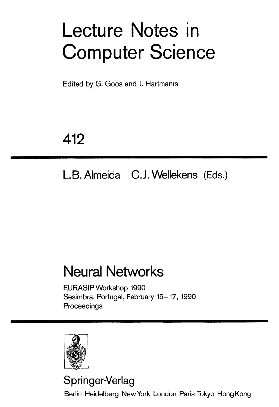# **Lecture Notes in Computer Science**

Edited by G. Goos and J. Hartmanis

## **412**

## **L.B. Almeida C.J. Wellekens (Eds.)**

## **Neural Networks**

EURASIP Workshop 1990 Sesimbra, Portugal, February 15-17, 1990 **Proceedings** 



### **Springer-Verlag**

Berlin Heidelberg NewYork London Paris Tokyo HongKong

II I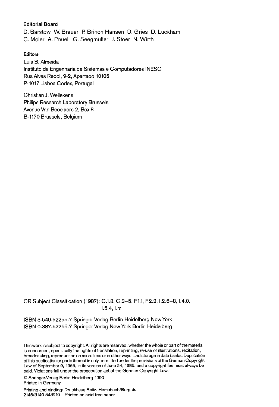#### **Editorial Board**

D. Barstow W. Brauer P. Brinch Hansen D. Gries D. Luckham C. Moler A. Pnueli G. Seegmüller J. Stoer N. Wirth

#### **Editors**

Luis B. Almeida Instituto de Engenharia de Sistemas e Computadores INESC Rua Alves Redol, 9-2, Apartado 10105 P-1017 Lisboa Codex, Portugal

Christian J. Wellekens Philips Research Laboratory Brussels Avenue Van Becelaere 2, Box 8 B-1170 Brussels, Belgium

CR Subject Classification (1987): C.1.3, C.3-5, F.1.1, E2.2, 1.2.6-8, 1.4.0, 1.5.4, I.m

ISBN 3-540-52255-? Springer-Verlag Berlin Heidelberg New York ISBN 0-38?-52255-? Springer-Verlag NewYork Berlin Heidelberg

This work is subject to copyright. All rights are reserved, whether the whole or part of the material is concerned, specifically the rights of translation, reprinting, re-use of illustrations, recitation, broadcasting, reproduction on microfilms or in other ways, and storage in data banks. Duplication of this publication or parts thereof is only permitted under the provisions of the German Copyright Law of September 9, 1965, in its version of June 24, 1985, and a copyright fee must always be paid. Violations fall under the prosecution act of the German Copyright Law.

© Springer-Verlag Berlin Heidelberg 1990 Printed in Germany

Printing and binding: Druckhaus Beltz, Hemsbach/Bergstr. *214513140-543210 -* Printed on acid-free paper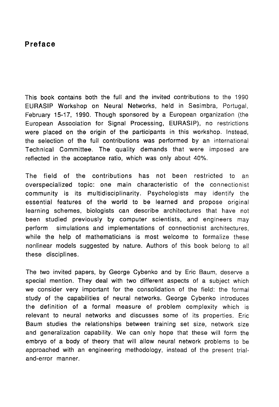#### Preface

This book contains both the full and the invited contributions to the 1990. EURASIP Workshop on Neural Networks, held in Sesimbra, Portugal, February 15-17, 1990. Though sponsored by a European organization (the European Association for Signal Processing, EURASIP), no restrictions were placed on the origin of the participants in this workshop. Instead, the selection of the full contributions was performed by an international Technical Committee. The quality demands that were imposed are reflected in the acceptance ratio, which was only about 40%.

The field of the contributions has not been restricted to an overspecialized topic: one main characteristic of the connectionist community is its multidisciplinarity. Psychologists may identify the essential features of the world to be learned and propose original learning schemes, biologists can describe architectures that have not been studied previously by computer scientists, and engineers may perform simulations and implementations of connectionist architectures, while the help of mathematicians is most welcome to formalize these nonlinear models suggested by nature. Authors of this book belong to all these disciplines.

The two invited papers, by George Cybenko and by Eric Baum, deserve a special mention. They deal with two different aspects of a subject which we consider very important for the consolidation of the field: the formal study of the capabilities of neural networks. George Cybenko introduces the definition of a formal measure of problem complexity which is relevant to neural networks and discusses some of its properties. Eric Baum studies the relationships between training set size, network size and generalization capability. We can only hope that these will form the embryo of a body of theory that will allow neural network problems to be approached with an engineering methodology, instead of the present trialand-error manner.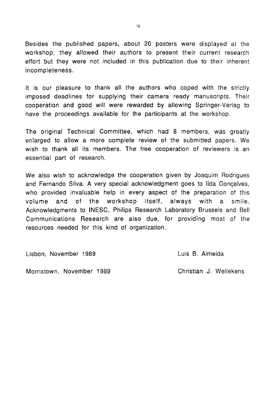Besides the published papers, about 20 posters were displayed at the workshop; they allowed their authors to present their current research effort but they were not included in this publication due to their inherent incompleteness.

It is our pleasure to thank all the authors who coped with the strictly imposed deadlines for supplying their camera ready manuscripts. Their cooperation and good will were rewarded by allowing Springer-Verlag to have the proceedings available for the participants at the workshop.

The original Technical Committee, which had 8 members, was greatly enlarged to allow a more complete review of the submitted papers, We wish to thank all its members. The free cooperation of reviewers is an essential part of research.

We also wish to acknowledge the cooperation given by Joaquim Rodrigues and Fernando Silva. A very special acknowledgment goes to Ilda Goncalves, who provided invaluable help in every aspect of the preparation of this volume and of the workshop itself, always with a smile. Acknowledgments to INESC, Philips Research Laboratory Brussels and Bell Communications Research are also due, for providing most of the resources needed for this kind of organization.

Lisbon, November 1989 Luis B. Almeida

Morristown, November 1989 Christian J. Wellekens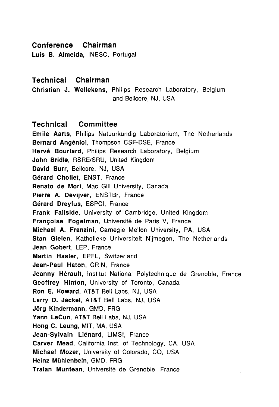#### **Conference** Chairman

**Technical Chairman** 

#### Technical Chairman

Christian J. Wellekens, Philips Research Laboratory, Belgium and Bellcore, NJ, USA

#### Technical Committee

Emile Aarts, Philips Natuurkundig Laboratorium, The Netherlands Bernard Angéniol, Thompson CSF-DSE, France Hervé Bourlard, Philips Research Laboratory, Belgium John Bridle, RSRE/SRU, United Kingdom David Burr, Bellcore, NJ, USA Gérard Chollet, ENST, France Renato de Mori, Mac Gill University, Canada Pierre A. Devijver, ENSTBr, France Gérard Dreyfus, ESPCI, France Frank Fallside, University of Cambridge, United Kingdom Françoise Fogelman, Université de Paris V, France Michael A. Franzini, Carnegie Mellon University, PA, USA Stan Gielen, Katholieke Universiteit Nijmegen, The Netherlands Jean-Gobert, LEP, France Martin Hasler, EPFL, Switzerland Jean-Paul Haton, CRIN, France Jeanny Hérault, Institut National Polytechnique de Grenoble, France Geoffrey Hinton, University of Toronto, Canada Ron E. Howard, AT&T Bell Labs, NJ, USA Larry D. Jackel, AT&T Bell Labs, NJ, USA Jörg Kindermann, GMD, FRG Yann-LeCun, AT&T Bell Labs, NJ, USA Hong C. Leung, MIT, MA, USA Jean-Sylvain Liénard, LIMSI, France Carver Mead, California Inst. of Technology, CA, USA Michael Mozer, University of Colorado, CO, USA Heinz Mühlenbein, GMD, FRG Traian Muntean, Université de Grenoble, France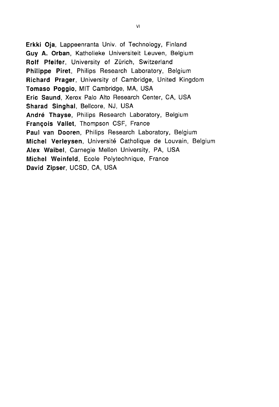Erkki Oja, Lappeenranta Univ. of Technology, Finland Guy A. Orban, Katholieke Universiteit Leuven, Belgium Rolf Pfeifer, University of Zürich, Switzerland Philippe Piret, Philips Research Laboratory, Belgium Richard Prager, University of Cambridge, United Kingdom Tomaso Poggio, MIT Cambridge, MA, USA Eric Saund, Xerox Palo Alto Research Center, CA, USA Sharad Singhal, Bellcore, NJ, USA André Thayse, Philips Research Laboratory, Belgium François Vallet, Thompson CSF, France Paul van Dooren, Philips Research Laboratory, Belgium Michel Verleysen, Université Catholique de Louvain, Belgium Alex Waibel, Carnegie Mellon University, PA, USA Michel Weinfeld, Ecole Polytechnique, France David Zipser, UCSD, CA, USA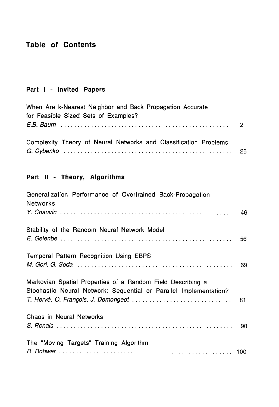### Table of Contents

#### Part I - Invited Papers

| When Are k-Nearest Neighbor and Back Propagation Accurate        |  |
|------------------------------------------------------------------|--|
| for Feasible Sized Sets of Examples?                             |  |
|                                                                  |  |
| Complexity Theory of Neural Networks and Classification Problems |  |
|                                                                  |  |

### Part II - Theory, Algorithms

| Generalization Performance of Overtrained Back-Propagation<br>Networks                                                           |    |
|----------------------------------------------------------------------------------------------------------------------------------|----|
|                                                                                                                                  | 46 |
| Stability of the Random Neural Network Model                                                                                     | 56 |
| Temporal Pattern Recognition Using EBPS                                                                                          | 69 |
| Markovian Spatial Properties of a Random Field Describing a<br>Stochastic Neural Network: Sequential or Parallel Implementation? |    |
|                                                                                                                                  |    |
| Chaos in Neural Networks                                                                                                         |    |
|                                                                                                                                  | 90 |
| The "Moving Targets" Training Algorithm                                                                                          |    |
|                                                                                                                                  |    |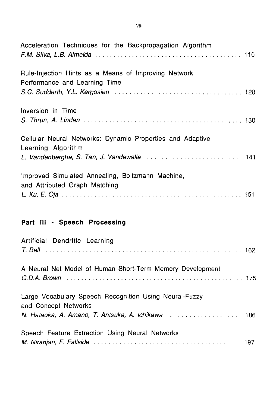| Acceleration Techniques for the Backpropagation Algorithm                             |  |
|---------------------------------------------------------------------------------------|--|
| Rule-Injection Hints as a Means of Improving Network<br>Performance and Learning Time |  |
| Inversion in Time                                                                     |  |
| Cellular Neural Networks: Dynamic Properties and Adaptive<br>Learning Algorithm       |  |
| Improved Simulated Annealing, Boltzmann Machine,<br>and Attributed Graph Matching     |  |

### **Part III - Speech Processing**

| Artificial Dendritic Learning                                                  |  |
|--------------------------------------------------------------------------------|--|
| A Neural Net Model of Human Short-Term Memory Development                      |  |
| Large Vocabulary Speech Recognition Using Neural-Fuzzy<br>and Concept Networks |  |
| Speech Feature Extraction Using Neural Networks                                |  |